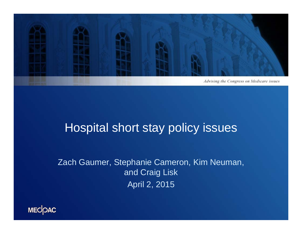

#### Hospital short stay policy issues

Zach Gaumer, Stephanie Cameron, Kim Neuman, and Craig Lisk April 2, 2015

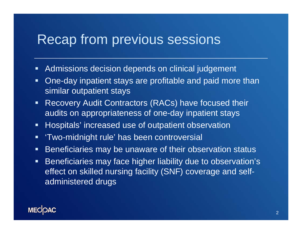#### Recap from previous sessions

- $\blacksquare$ Admissions decision depends on clinical judgement
- $\blacksquare$  One-day inpatient stays are profitable and paid more than similar outpatient stays
- $\blacksquare$  Recovery Audit Contractors (RACs) have focused their audits on appropriateness of one-day inpatient stays
- $\blacksquare$ Hospitals' increased use of outpatient observation
- $\blacksquare$ 'Two-midnight rule' has been controversial
- $\blacksquare$ Beneficiaries may be unaware of their observation status
- $\blacksquare$  Beneficiaries may face higher liability due to observation's effect on skilled nursing facility (SNF) coverage and selfadministered drugs

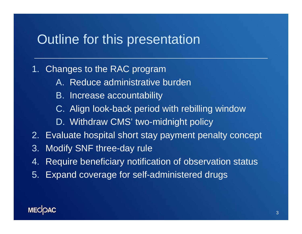#### Outline for this presentation

#### 1. Changes to the RAC program

- A. Reduce administrative burden
- B. Increase accountability
- C. Align look-back period with rebilling window
- D. Withdraw CMS' two-midnight policy
- 2. Evaluate hospital short stay payment penalty concept
- 3. Modify SNF three-day rule
- 4.Require beneficiary notification of observation status
- 5. Expand coverage for self-administered drugs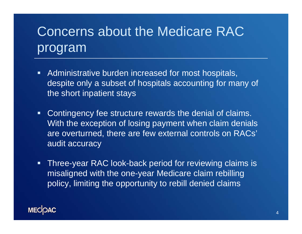# Concerns about the Medicare RAC program

- $\blacksquare$  Administrative burden increased for most hospitals, despite only a subset of hospitals accounting for many of the short inpatient stays
- $\blacksquare$  Contingency fee structure rewards the denial of claims. With the exception of losing payment when claim denials are overturned, there are few external controls on RACs' audit accuracy
- $\blacksquare$  Three-year RAC look-back period for reviewing claims is misaligned with the one-year Medicare claim rebilling policy, limiting the opportunity to rebill denied claims

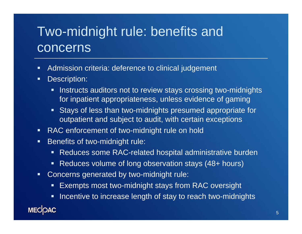## Two-midnight rule: benefits and concerns

- $\blacksquare$ Admission criteria: deference to clinical judgement
- $\blacksquare$  Description:
	- $\blacksquare$  Instructs auditors not to review stays crossing two-midnights for inpatient appropriateness, unless evidence of gaming
	- Stays of less than two-midnights presumed appropriate for outpatient and subject to audit, with certain exceptions
- $\blacksquare$ RAC enforcement of two-midnight rule on hold
- $\blacksquare$  Benefits of two-midnight rule:
	- $\blacksquare$  . Reduces some RAC-related hospital administrative burden
	- Reduces volume of long observation stays (48+ hours)
- $\blacksquare$  Concerns generated by two-midnight rule:
	- $\blacksquare$ Exempts most two-midnight stays from RAC oversight
	- **Incentive to increase length of stay to reach two-midnights**

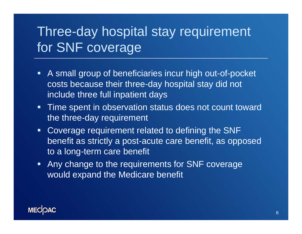## Three-day hospital stay requirement for SNF coverage

- A small group of beneficiaries incur high out-of-pocket costs because their three-day hospital stay did not include three full inpatient days
- **Time spent in observation status does not count toward** the three-day requirement
- **Coverage requirement related to defining the SNF** benefit as strictly a post-acute care benefit, as opposed to a long-term care benefit
- **Any change to the requirements for SNF coverage** would expand the Medicare benefit

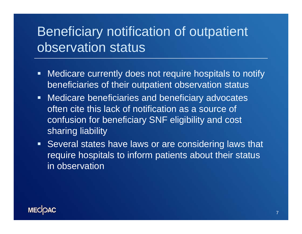## Beneficiary notification of outpatient observation status

- $\blacksquare$  . Medicare currently does not require hospitals to notify beneficiaries of their outpatient observation status
- **Medicare beneficiaries and beneficiary advocates** often cite this lack of notification as a source of confusion for beneficiary SNF eligibility and cost sharing liability
- **Several states have laws or are considering laws that** require hospitals to inform patients about their status in observation